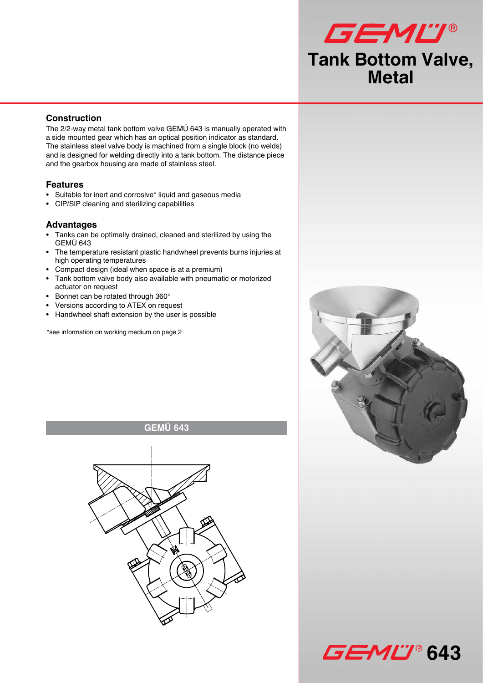# GEMU® **Tank Bottom Valve, Metal**

## **Construction**

The 2/2-way metal tank bottom valve GEMÜ 643 is manually operated with a side mounted gear which has an optical position indicator as standard. The stainless steel valve body is machined from a single block (no welds) and is designed for welding directly into a tank bottom. The distance piece and the gearbox housing are made of stainless steel.

## **Features**

- Suitable for inert and corrosive\* liquid and gaseous media
- CIP/SIP cleaning and sterilizing capabilities

## **Advantages**

- Tanks can be optimally drained, cleaned and sterilized by using the GEMÜ 643
- The temperature resistant plastic handwheel prevents burns injuries at high operating temperatures
- Compact design (ideal when space is at a premium)
- Tank bottom valve body also available with pneumatic or motorized actuator on request
- Bonnet can be rotated through 360°
- Versions according to ATEX on request
- Handwheel shaft extension by the user is possible

\*see information on working medium on page 2

**GEMÜ 643**





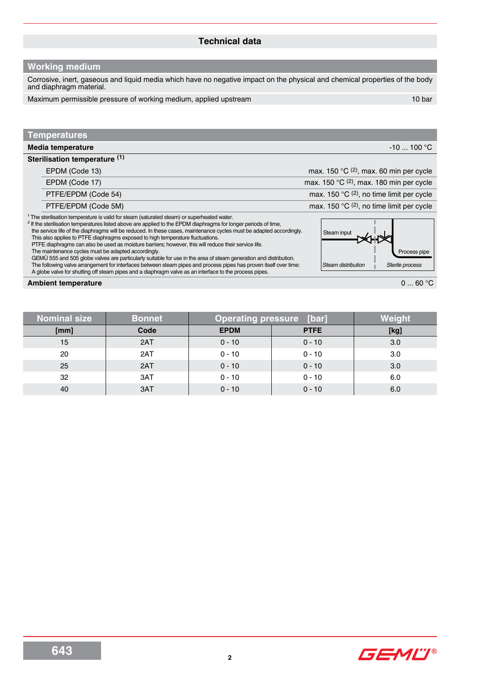## **Technical data**

## **Working medium**

Corrosive, inert, gaseous and liquid media which have no negative impact on the physical and chemical properties of the body and diaphragm material.

Maximum permissible pressure of working medium, applied upstream 10 bar 10 bar

## **Temperatures**

| Media temperature             | $-10$ 100 °C                                       |
|-------------------------------|----------------------------------------------------|
| Sterilisation temperature (1) |                                                    |
| EPDM (Code 13)                | max. 150 $\mathrm{C}$ (2), max. 60 min per cycle   |
| EPDM (Code 17)                | max. 150 $^{\circ}$ C (2), max. 180 min per cycle  |
| PTFE/EPDM (Code 54)           | max. 150 $^{\circ}$ C (2), no time limit per cycle |
| PTFE/EPDM (Code 5M)           | max. 150 °C (2), no time limit per cycle           |

 $1$  The sterilisation temperature is valid for steam (saturated steam) or superheated water.

<sup>2</sup> If the sterilisation temperatures listed above are applied to the EPDM diaphragms for longer periods of time, the service life of the diaphragms will be reduced. In these cases, maintenance cycles must be adapted accordingly.

This also applies to PTFE diaphragms exposed to high temperature fluctuations.

PTFE diaphragms can also be used as moisture barriers; however, this will reduce their service life.

The maintenance cycles must be adapted accordingly.

 GEMÜ 555 and 505 globe valves are particularly suitable for use in the area of steam generation and distribution. The following valve arrangement for interfaces between steam pipes and process pipes has proven itself over time: A globe valve for shutting off steam pipes and a diaphragm valve as an interface to the process pipes.

## **Ambient temperature 0** ... 60 °C

| Nominal size | <b>Bonnet</b> | <b>Operating pressure [bar]</b> | Weiaht      |      |
|--------------|---------------|---------------------------------|-------------|------|
| [mm]         | Code          | <b>EPDM</b>                     | <b>PTFE</b> | [kg] |
| 15           | 2AT           | $0 - 10$                        | $0 - 10$    | 3.0  |
| 20           | 2AT           | $0 - 10$                        | $0 - 10$    | 3.0  |
| 25           | 2AT           | $0 - 10$                        | $0 - 10$    | 3.0  |
| 32           | 3AT           | $0 - 10$                        | $0 - 10$    | 6.0  |
| 40           | 3AT           | $0 - 10$                        | $0 - 10$    | 6.0  |

# Steam input





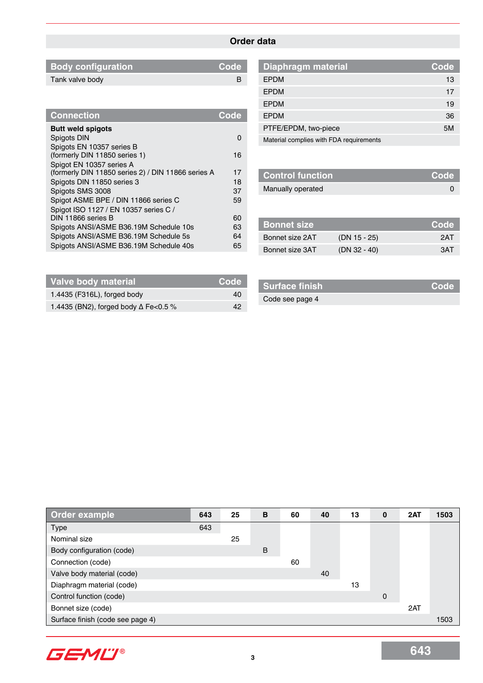## **Order data**

| <b>Body configuration</b> | Code |
|---------------------------|------|
| Tank valve body           |      |

| <b>Connection</b>                                  | <b>Code</b> |
|----------------------------------------------------|-------------|
| <b>Butt weld spigots</b>                           |             |
| Spigots DIN                                        | O           |
| Spigots EN 10357 series B                          |             |
| (formerly DIN 11850 series 1)                      | 16          |
| Spigot EN 10357 series A                           |             |
| (formerly DIN 11850 series 2) / DIN 11866 series A | 17          |
| Spigots DIN 11850 series 3                         | 18          |
| Spigots SMS 3008                                   | 37          |
| Spigot ASME BPE / DIN 11866 series C               | 59          |
| Spigot ISO 1127 / EN 10357 series C /              |             |
| DIN 11866 series B                                 | 60          |
| Spigots ANSI/ASME B36.19M Schedule 10s             | 63          |
| Spigots ANSI/ASME B36.19M Schedule 5s              | 64          |
| Spigots ANSI/ASME B36.19M Schedule 40s             | 65          |

| <b>Diaphragm material</b>               | Code |
|-----------------------------------------|------|
| <b>EPDM</b>                             | 13   |
| <b>EPDM</b>                             | 17   |
| <b>EPDM</b>                             | 19   |
| <b>EPDM</b>                             | 36   |
| PTFE/EPDM, two-piece                    | 5M   |
| Material complies with FDA requirements |      |

| <b>Control function</b> | Code |
|-------------------------|------|
| Manually operated       |      |
|                         |      |

| ∣ Bonnet s <u>ize</u> |                | Code |
|-----------------------|----------------|------|
| Bonnet size 2AT       | $(DN 15 - 25)$ | 2AT  |
| Bonnet size 3AT       | $(DN 32 - 40)$ | 3AT. |

| Valve body material                         | Code <sup>\</sup> |
|---------------------------------------------|-------------------|
| 1.4435 (F316L), forged body                 | 40                |
| 1.4435 (BN2), forged body $\Delta$ Fe<0.5 % | 42                |

| <b>Surface finish</b> | Code <sup>'</sup> |
|-----------------------|-------------------|
| Code see page 4       |                   |

| <b>Order example</b>             | 643 | 25 | B | 60 | 40 | 13 | 0           | 2AT | 1503 |
|----------------------------------|-----|----|---|----|----|----|-------------|-----|------|
| <b>Type</b>                      | 643 |    |   |    |    |    |             |     |      |
| Nominal size                     |     | 25 |   |    |    |    |             |     |      |
| Body configuration (code)        |     |    | B |    |    |    |             |     |      |
| Connection (code)                |     |    |   | 60 |    |    |             |     |      |
| Valve body material (code)       |     |    |   |    | 40 |    |             |     |      |
| Diaphragm material (code)        |     |    |   |    |    | 13 |             |     |      |
| Control function (code)          |     |    |   |    |    |    | $\mathbf 0$ |     |      |
| Bonnet size (code)               |     |    |   |    |    |    |             | 2AT |      |
| Surface finish (code see page 4) |     |    |   |    |    |    |             |     | 1503 |

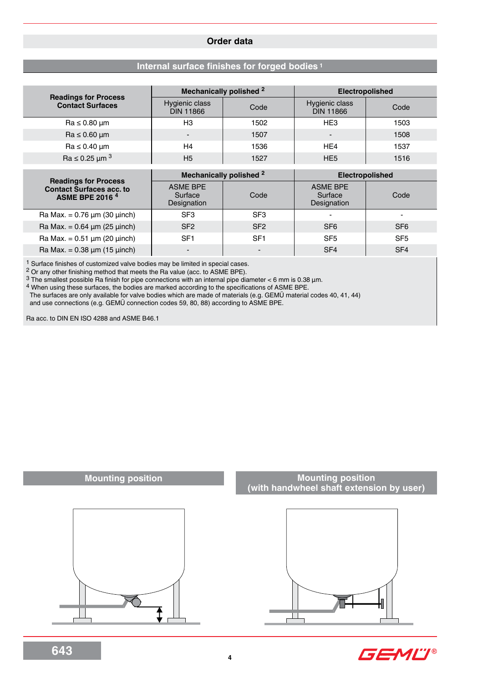## **Order data**

## **Internal surface finishes for forged bodies <sup>1</sup>**

|                                                                                                    |                                            | Mechanically polished <sup>2</sup> | <b>Electropolished</b>                    |                 |  |  |
|----------------------------------------------------------------------------------------------------|--------------------------------------------|------------------------------------|-------------------------------------------|-----------------|--|--|
| <b>Readings for Process</b><br><b>Contact Surfaces</b>                                             | Hygienic class<br>Code<br><b>DIN 11866</b> |                                    | Hygienic class<br><b>DIN 11866</b>        | Code            |  |  |
| $Ra \leq 0.80 \mu m$                                                                               | H <sub>3</sub>                             | 1502                               | HE <sub>3</sub>                           | 1503            |  |  |
| $Ra \leq 0.60 \mu m$                                                                               |                                            | 1507                               | $\overline{\phantom{0}}$                  | 1508            |  |  |
| $Ra \leq 0.40 \mu m$                                                                               | H <sub>4</sub>                             | 1536                               | HE4                                       | 1537            |  |  |
| $\text{Ra} \leq 0.25 \ \mu \text{m}^3$                                                             | H <sub>5</sub>                             | 1527                               | HE <sub>5</sub>                           | 1516            |  |  |
|                                                                                                    |                                            | Mechanically polished <sup>2</sup> | <b>Electropolished</b>                    |                 |  |  |
| <b>Readings for Process</b><br><b>Contact Surfaces acc. to</b><br><b>ASME BPE 2016<sup>4</sup></b> | <b>ASME BPE</b><br>Surface<br>Designation  | Code                               | <b>ASME BPE</b><br>Surface<br>Designation | Code            |  |  |
| Ra Max. = $0.76 \mu m$ (30 $\mu$ inch)                                                             | SF <sub>3</sub>                            | SF <sub>3</sub>                    |                                           | -               |  |  |
| Ra Max. = $0.64 \mu m (25 \mu nch)$                                                                | SF <sub>2</sub>                            | SF <sub>2</sub>                    | SF <sub>6</sub>                           | SF <sub>6</sub> |  |  |

Ra Max. = 0.51 μm (20 μinch) SF1 SF1 SF5 SF5 SF5  $\text{Ra Max.} = 0.38 \, \mu\text{m (15 \, \muinch)}$   $\left| \begin{array}{ccc} \text{SFA} & \text{SFA} \\ \text{SFA} & \text{SFA} \end{array} \right|$  SF4

1 Surface finishes of customized valve bodies may be limited in special cases.

2 Or any other finishing method that meets the Ra value (acc. to ASME BPE).

3 The smallest possible Ra finish for pipe connections with an internal pipe diameter < 6 mm is 0.38 µm.

4 When using these surfaces, the bodies are marked according to the specifications of ASME BPE.

The surfaces are only available for valve bodies which are made of materials (e.g. GEMÜ material codes 40, 41, 44)

and use connections (e.g. GEMÜ connection codes 59, 80, 88) according to ASME BPE.

Ra acc. to DIN EN ISO 4288 and ASME B46.1

## **Mounting position**



## **Mounting position (with handwheel shaft extension by user)**



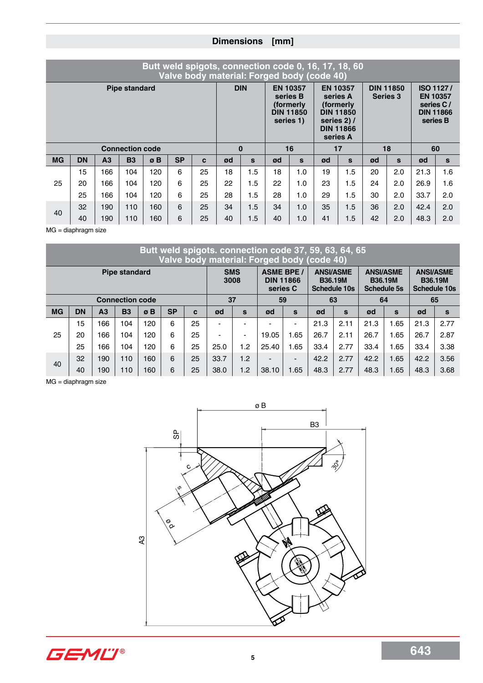## **Dimensions [mm]**

| Butt weld spigots, connection code 0, 16, 17, 18, 60<br>Valve body material: Forged body (code 40) |           |                |                        |                                                                                         |           |                                                                                                             |          |                                     |    |                                                                                  |    |     |    |     |      |              |
|----------------------------------------------------------------------------------------------------|-----------|----------------|------------------------|-----------------------------------------------------------------------------------------|-----------|-------------------------------------------------------------------------------------------------------------|----------|-------------------------------------|----|----------------------------------------------------------------------------------|----|-----|----|-----|------|--------------|
| <b>Pipe standard</b>                                                                               |           |                |                        | <b>DIN</b><br><b>EN 10357</b><br>series B<br>(formerly<br><b>DIN 11850</b><br>series 1) |           | <b>EN 10357</b><br>series A<br>(formerly<br><b>DIN 11850</b><br>series 2) /<br><b>DIN 11866</b><br>series A |          | <b>DIN 11850</b><br><b>Series 3</b> |    | <b>ISO 1127/</b><br><b>EN 10357</b><br>series C/<br><b>DIN 11866</b><br>series B |    |     |    |     |      |              |
|                                                                                                    |           |                | <b>Connection code</b> |                                                                                         |           |                                                                                                             | $\bf{0}$ |                                     |    | 16                                                                               |    | 17  | 18 |     | 60   |              |
| <b>MG</b>                                                                                          | <b>DN</b> | A <sub>3</sub> | <b>B3</b>              | øB                                                                                      | <b>SP</b> | C                                                                                                           | ød       | $\mathbf{s}$                        | ød | S                                                                                | ød | S   | ød | S   | ød   | $\mathbf{s}$ |
|                                                                                                    | 15        | 166            | 104                    | 120                                                                                     | 6         | 25                                                                                                          | 18       | 1.5                                 | 18 | 1.0                                                                              | 19 | 1.5 | 20 | 2.0 | 21.3 | 1.6          |
| 25                                                                                                 | 20        | 166            | 104                    | 120                                                                                     | 6         | 25                                                                                                          | 22       | 1.5                                 | 22 | 1.0                                                                              | 23 | 1.5 | 24 | 2.0 | 26.9 | 1.6          |
|                                                                                                    | 25        | 166            | 104                    | 120                                                                                     | 6         | 25                                                                                                          | 28       | 1.5                                 | 28 | 1.0                                                                              | 29 | 1.5 | 30 | 2.0 | 33.7 | 2.0          |
|                                                                                                    | 32        | 190            | 110                    | 160                                                                                     | 6         | 25                                                                                                          | 34       | 1.5                                 | 34 | 1.0                                                                              | 35 | 1.5 | 36 | 2.0 | 42.4 | 2.0          |
| 40                                                                                                 | 40        | 190            | 110                    | 160                                                                                     | 6         | 25                                                                                                          | 40       | 1.5                                 | 40 | 1.0                                                                              | 41 | 1.5 | 42 | 2.0 | 48.3 | 2.0          |

 $MG =$ diaphragm size

| Butt weld spigots. connection code 37, 59, 63, 64, 65<br>Valve body material: Forged body (code 40) |           |                |           |            |           |    |                    |                          |                                                   |      |                                                           |      |                                                          |      |                                                           |          |
|-----------------------------------------------------------------------------------------------------|-----------|----------------|-----------|------------|-----------|----|--------------------|--------------------------|---------------------------------------------------|------|-----------------------------------------------------------|------|----------------------------------------------------------|------|-----------------------------------------------------------|----------|
| <b>Pipe standard</b>                                                                                |           |                |           |            |           |    | <b>SMS</b><br>3008 |                          | <b>ASME BPE /</b><br><b>DIN 11866</b><br>series C |      | <b>ANSI/ASME</b><br><b>B36.19M</b><br><b>Schedule 10s</b> |      | <b>ANSI/ASME</b><br><b>B36.19M</b><br><b>Schedule 5s</b> |      | <b>ANSI/ASME</b><br><b>B36.19M</b><br><b>Schedule 10s</b> |          |
| <b>Connection code</b>                                                                              |           |                |           |            |           |    | 37                 |                          | 59                                                |      | 63                                                        |      | 64                                                       |      | 65                                                        |          |
| <b>MG</b>                                                                                           | <b>DN</b> | A <sub>3</sub> | <b>B3</b> | $\sigma$ B | <b>SP</b> | c  | ød                 | $\mathbf{s}$             | ød                                                | S    | ød                                                        | S    | ød                                                       | S    | ød                                                        | <b>S</b> |
| 25                                                                                                  | 15        | 166            | 104       | 120        | 6         | 25 |                    |                          |                                                   |      | 21.3                                                      | 2.11 | 21.3                                                     | .65  | 21.3                                                      | 2.77     |
|                                                                                                     | 20        | 166            | 104       | 120        | 6         | 25 | -                  | $\overline{\phantom{0}}$ | 19.05                                             | 1.65 | 26.7                                                      | 2.11 | 26.7                                                     | 1.65 | 26.7                                                      | 2.87     |
|                                                                                                     | 25        | 166            | 104       | 120        | 6         | 25 | 25.0               | 1.2                      | 25.40                                             | 1.65 | 33.4                                                      | 2.77 | 33.4                                                     | .65  | 33.4                                                      | 3.38     |
| 40                                                                                                  | 32        | 190            | 110       | 160        | 6         | 25 | 33.7               | 1.2                      | $\overline{\phantom{0}}$                          | -    | 42.2                                                      | 2.77 | 42.2                                                     | 1.65 | 42.2                                                      | 3.56     |
|                                                                                                     | 40        | 190            | 110       | 160        | 6         | 25 | 38.0               | 1.2                      | 38.10                                             | 1.65 | 48.3                                                      | 2.77 | 48.3                                                     | 1.65 | 48.3                                                      | 3.68     |

MG = diaphragm size



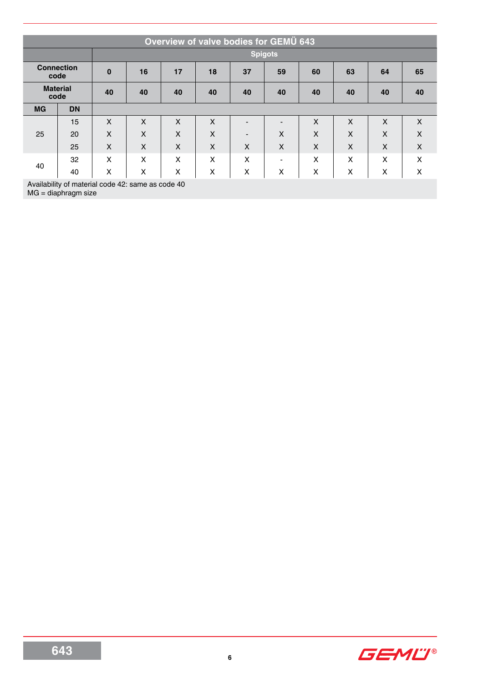| Overview of valve bodies for GEMU 643 |           |                |                           |    |    |                          |                |    |    |    |    |  |  |
|---------------------------------------|-----------|----------------|---------------------------|----|----|--------------------------|----------------|----|----|----|----|--|--|
|                                       |           | <b>Spigots</b> |                           |    |    |                          |                |    |    |    |    |  |  |
| <b>Connection</b><br>code             |           | $\bf{0}$       | 16                        | 17 | 18 | 37                       | 59             | 60 | 63 | 64 | 65 |  |  |
| <b>Material</b><br>code               |           | 40             | 40                        | 40 | 40 | 40                       | 40             | 40 | 40 | 40 | 40 |  |  |
| <b>MG</b>                             | <b>DN</b> |                |                           |    |    |                          |                |    |    |    |    |  |  |
| 25                                    | 15        | X              | X                         | X  | X  |                          |                | X  | X  | X  | X  |  |  |
|                                       | 20        | X              | X                         | X  | X  | $\overline{\phantom{a}}$ | X              | X  | X  | X  | X  |  |  |
|                                       | 25        | X              | $\boldsymbol{\mathsf{X}}$ | X  | X  | X                        | X              | X  | X  | X  | X  |  |  |
| 40                                    | 32        | X              | X                         | X  | X  | X                        | $\blacksquare$ | X  | X  | X  | X  |  |  |
|                                       | 40        | X              | X                         | X  | X  | X                        | X              | X  | X  | X  | X  |  |  |

Availability of material code 42: same as code 40

MG = diaphragm size